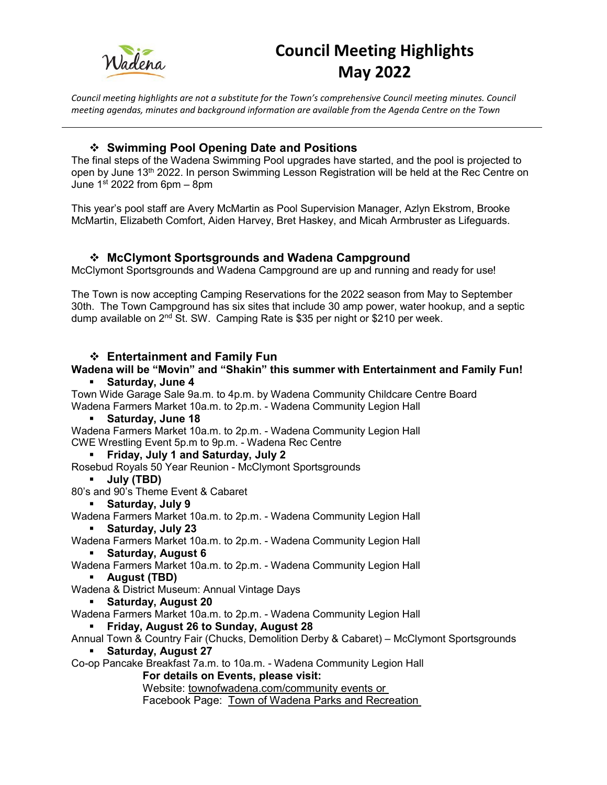

*Council meeting highlights are not a substitute for the Town's comprehensive Council meeting minutes. Council meeting agendas, minutes and background information are available from the Agenda Centre on the Town* 

#### **Swimming Pool Opening Date and Positions**

The final steps of the Wadena Swimming Pool upgrades have started, and the pool is projected to open by June 13<sup>th</sup> 2022. In person Swimming Lesson Registration will be held at the Rec Centre on June  $1<sup>st</sup> 2022$  from 6pm – 8pm

This year's pool staff are Avery McMartin as Pool Supervision Manager, Azlyn Ekstrom, Brooke McMartin, Elizabeth Comfort, Aiden Harvey, Bret Haskey, and Micah Armbruster as Lifeguards.

## **McClymont Sportsgrounds and Wadena Campground**

McClymont Sportsgrounds and Wadena Campground are up and running and ready for use!

The Town is now accepting Camping Reservations for the 2022 season from May to September 30th. The Town Campground has six sites that include 30 amp power, water hookup, and a septic dump available on  $2^{nd}$  St. SW. Camping Rate is \$35 per night or \$210 per week.

#### **Entertainment and Family Fun**

## **Wadena will be "Movin" and "Shakin" this summer with Entertainment and Family Fun!**

#### **Saturday, June 4**

Town Wide Garage Sale 9a.m. to 4p.m. by Wadena Community Childcare Centre Board Wadena Farmers Market 10a.m. to 2p.m. - Wadena Community Legion Hall

#### **Saturday, June 18**

Wadena Farmers Market 10a.m. to 2p.m. - Wadena Community Legion Hall CWE Wrestling Event 5p.m to 9p.m. - Wadena Rec Centre

#### **Friday, July 1 and Saturday, July 2**

Rosebud Royals 50 Year Reunion - McClymont Sportsgrounds

#### **July (TBD)**

80's and 90's Theme Event & Cabaret

#### **Saturday, July 9**

Wadena Farmers Market 10a.m. to 2p.m. - Wadena Community Legion Hall

**Saturday, July 23** 

Wadena Farmers Market 10a.m. to 2p.m. - Wadena Community Legion Hall

**Saturday, August 6** 

Wadena Farmers Market 10a.m. to 2p.m. - Wadena Community Legion Hall

- **August (TBD)**
- Wadena & District Museum: Annual Vintage Days
	- **Saturday, August 20**

Wadena Farmers Market 10a.m. to 2p.m. - Wadena Community Legion Hall

**Friday, August 26 to Sunday, August 28** 

Annual Town & Country Fair (Chucks, Demolition Derby & Cabaret) – McClymont Sportsgrounds

#### **Saturday, August 27**

Co-op Pancake Breakfast 7a.m. to 10a.m. - Wadena Community Legion Hall

**For details on Events, please visit:**

Website: townofwadena.com/community events or

Facebook Page: Town of Wadena Parks and Recreation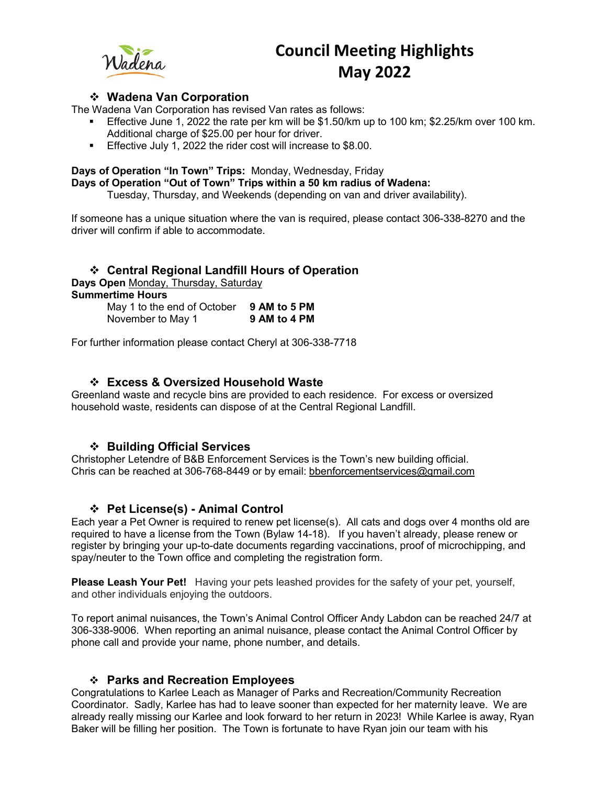

#### **Wadena Van Corporation**

The Wadena Van Corporation has revised Van rates as follows:

- Effective June 1, 2022 the rate per km will be \$1.50/km up to 100 km; \$2.25/km over 100 km. Additional charge of \$25.00 per hour for driver.
- **Effective July 1, 2022 the rider cost will increase to \$8.00.**

#### **Days of Operation "In Town" Trips:** Monday, Wednesday, Friday

**Days of Operation "Out of Town" Trips within a 50 km radius of Wadena:**

Tuesday, Thursday, and Weekends (depending on van and driver availability).

If someone has a unique situation where the van is required, please contact 306-338-8270 and the driver will confirm if able to accommodate.

| ❖ Central Regional Landfill Hours of Operation<br>Days Open Monday, Thursday, Saturday |              |
|----------------------------------------------------------------------------------------|--------------|
|                                                                                        |              |
| May 1 to the end of October                                                            | 9 AM to 5 PM |
| November to May 1                                                                      | 9 AM to 4 PM |

For further information please contact Cheryl at 306-338-7718

#### **Excess & Oversized Household Waste**

Greenland waste and recycle bins are provided to each residence. For excess or oversized household waste, residents can dispose of at the Central Regional Landfill.

#### **Building Official Services**

Christopher Letendre of B&B Enforcement Services is the Town's new building official. Chris can be reached at 306-768-8449 or by email: bbenforcementservices@gmail.com

#### **Pet License(s) - Animal Control**

Each year a Pet Owner is required to renew pet license(s). All cats and dogs over 4 months old are required to have a license from the Town (Bylaw 14-18). If you haven't already, please renew or register by bringing your up-to-date documents regarding vaccinations, proof of microchipping, and spay/neuter to the Town office and completing the registration form.

**Please Leash Your Pet!** Having your pets leashed provides for the safety of your pet, yourself, and other individuals enjoying the outdoors.

To report animal nuisances, the Town's Animal Control Officer Andy Labdon can be reached 24/7 at 306-338-9006. When reporting an animal nuisance, please contact the Animal Control Officer by phone call and provide your name, phone number, and details.

#### **Parks and Recreation Employees**

Congratulations to Karlee Leach as Manager of Parks and Recreation/Community Recreation Coordinator. Sadly, Karlee has had to leave sooner than expected for her maternity leave. We are already really missing our Karlee and look forward to her return in 2023! While Karlee is away, Ryan Baker will be filling her position. The Town is fortunate to have Ryan join our team with his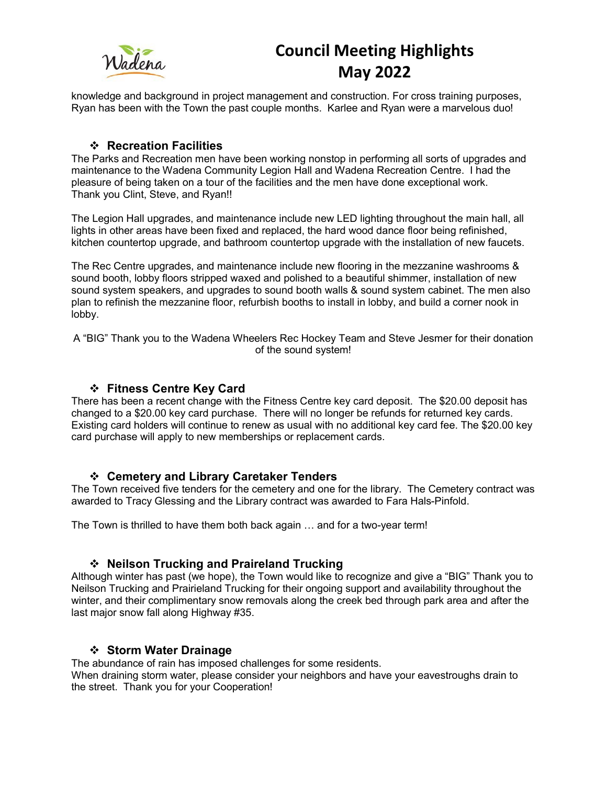

knowledge and background in project management and construction. For cross training purposes, Ryan has been with the Town the past couple months. Karlee and Ryan were a marvelous duo!

#### **Recreation Facilities**

The Parks and Recreation men have been working nonstop in performing all sorts of upgrades and maintenance to the Wadena Community Legion Hall and Wadena Recreation Centre. I had the pleasure of being taken on a tour of the facilities and the men have done exceptional work. Thank you Clint, Steve, and Ryan!!

The Legion Hall upgrades, and maintenance include new LED lighting throughout the main hall, all lights in other areas have been fixed and replaced, the hard wood dance floor being refinished, kitchen countertop upgrade, and bathroom countertop upgrade with the installation of new faucets.

The Rec Centre upgrades, and maintenance include new flooring in the mezzanine washrooms & sound booth, lobby floors stripped waxed and polished to a beautiful shimmer, installation of new sound system speakers, and upgrades to sound booth walls & sound system cabinet. The men also plan to refinish the mezzanine floor, refurbish booths to install in lobby, and build a corner nook in lobby.

A "BIG" Thank you to the Wadena Wheelers Rec Hockey Team and Steve Jesmer for their donation of the sound system!

#### **Fitness Centre Key Card**

There has been a recent change with the Fitness Centre key card deposit. The \$20.00 deposit has changed to a \$20.00 key card purchase. There will no longer be refunds for returned key cards. Existing card holders will continue to renew as usual with no additional key card fee. The \$20.00 key card purchase will apply to new memberships or replacement cards.

#### **Cemetery and Library Caretaker Tenders**

The Town received five tenders for the cemetery and one for the library. The Cemetery contract was awarded to Tracy Glessing and the Library contract was awarded to Fara Hals-Pinfold.

The Town is thrilled to have them both back again … and for a two-year term!

#### **Neilson Trucking and Praireland Trucking**

Although winter has past (we hope), the Town would like to recognize and give a "BIG" Thank you to Neilson Trucking and Prairieland Trucking for their ongoing support and availability throughout the winter, and their complimentary snow removals along the creek bed through park area and after the last major snow fall along Highway #35.

#### **Storm Water Drainage**

The abundance of rain has imposed challenges for some residents.

When draining storm water, please consider your neighbors and have your eavestroughs drain to the street. Thank you for your Cooperation!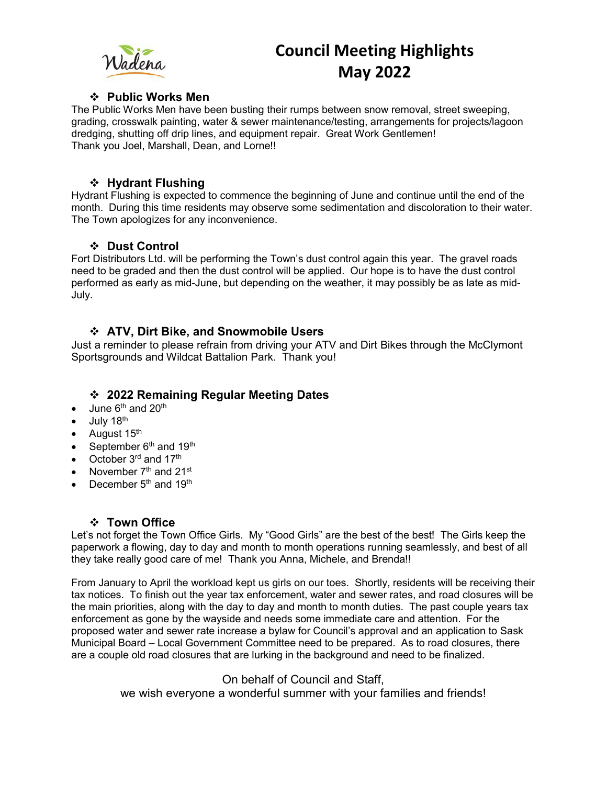# Wadena

# **Council Meeting Highlights May 2022**

#### **Public Works Men**

The Public Works Men have been busting their rumps between snow removal, street sweeping, grading, crosswalk painting, water & sewer maintenance/testing, arrangements for projects/lagoon dredging, shutting off drip lines, and equipment repair. Great Work Gentlemen! Thank you Joel, Marshall, Dean, and Lorne!!

#### **❖ Hydrant Flushing**

Hydrant Flushing is expected to commence the beginning of June and continue until the end of the month. During this time residents may observe some sedimentation and discoloration to their water. The Town apologizes for any inconvenience.

#### **Dust Control**

Fort Distributors Ltd. will be performing the Town's dust control again this year. The gravel roads need to be graded and then the dust control will be applied. Our hope is to have the dust control performed as early as mid-June, but depending on the weather, it may possibly be as late as mid-July.

#### **ATV, Dirt Bike, and Snowmobile Users**

Just a reminder to please refrain from driving your ATV and Dirt Bikes through the McClymont Sportsgrounds and Wildcat Battalion Park. Thank you!

### **2022 Remaining Regular Meeting Dates**

- June 6<sup>th</sup> and 20<sup>th</sup>
- July 18<sup>th</sup>
- August  $15<sup>th</sup>$
- September  $6<sup>th</sup>$  and  $19<sup>th</sup>$
- October  $3<sup>rd</sup>$  and  $17<sup>th</sup>$
- November  $7<sup>th</sup>$  and  $21<sup>st</sup>$
- December  $5<sup>th</sup>$  and 19<sup>th</sup>

## **Town Office**

Let's not forget the Town Office Girls. My "Good Girls" are the best of the best! The Girls keep the paperwork a flowing, day to day and month to month operations running seamlessly, and best of all they take really good care of me! Thank you Anna, Michele, and Brenda!!

From January to April the workload kept us girls on our toes. Shortly, residents will be receiving their tax notices. To finish out the year tax enforcement, water and sewer rates, and road closures will be the main priorities, along with the day to day and month to month duties. The past couple years tax enforcement as gone by the wayside and needs some immediate care and attention. For the proposed water and sewer rate increase a bylaw for Council's approval and an application to Sask Municipal Board – Local Government Committee need to be prepared. As to road closures, there are a couple old road closures that are lurking in the background and need to be finalized.

> On behalf of Council and Staff, we wish everyone a wonderful summer with your families and friends!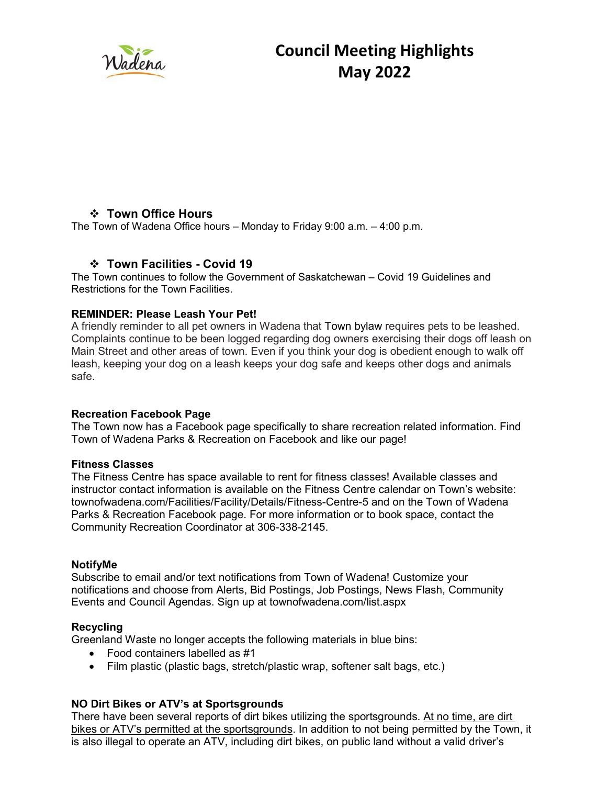

#### **Town Office Hours**

The Town of Wadena Office hours – Monday to Friday 9:00 a.m. – 4:00 p.m.

#### **Town Facilities - Covid 19**

The Town continues to follow the Government of Saskatchewan – Covid 19 Guidelines and Restrictions for the Town Facilities.

#### **REMINDER: Please Leash Your Pet!**

A friendly reminder to all pet owners in Wadena that Town bylaw requires pets to be leashed. Complaints continue to be been logged regarding dog owners exercising their dogs off leash on Main Street and other areas of town. Even if you think your dog is obedient enough to walk off leash, keeping your dog on a leash keeps your dog safe and keeps other dogs and animals safe.

#### **Recreation Facebook Page**

The Town now has a Facebook page specifically to share recreation related information. Find Town of Wadena Parks & Recreation on Facebook and like our page!

#### **Fitness Classes**

The Fitness Centre has space available to rent for fitness classes! Available classes and instructor contact information is available on the Fitness Centre calendar on Town's website: townofwadena.com/Facilities/Facility/Details/Fitness-Centre-5 and on the Town of Wadena Parks & Recreation Facebook page. For more information or to book space, contact the Community Recreation Coordinator at 306-338-2145.

#### **NotifyMe**

Subscribe to email and/or text notifications from Town of Wadena! Customize your notifications and choose from Alerts, Bid Postings, Job Postings, News Flash, Community Events and Council Agendas. Sign up at townofwadena.com/list.aspx

#### **Recycling**

Greenland Waste no longer accepts the following materials in blue bins:

- Food containers labelled as #1
- Film plastic (plastic bags, stretch/plastic wrap, softener salt bags, etc.)

#### **NO Dirt Bikes or ATV's at Sportsgrounds**

There have been several reports of dirt bikes utilizing the sportsgrounds. At no time, are dirt bikes or ATV's permitted at the sportsgrounds. In addition to not being permitted by the Town, it is also illegal to operate an ATV, including dirt bikes, on public land without a valid driver's